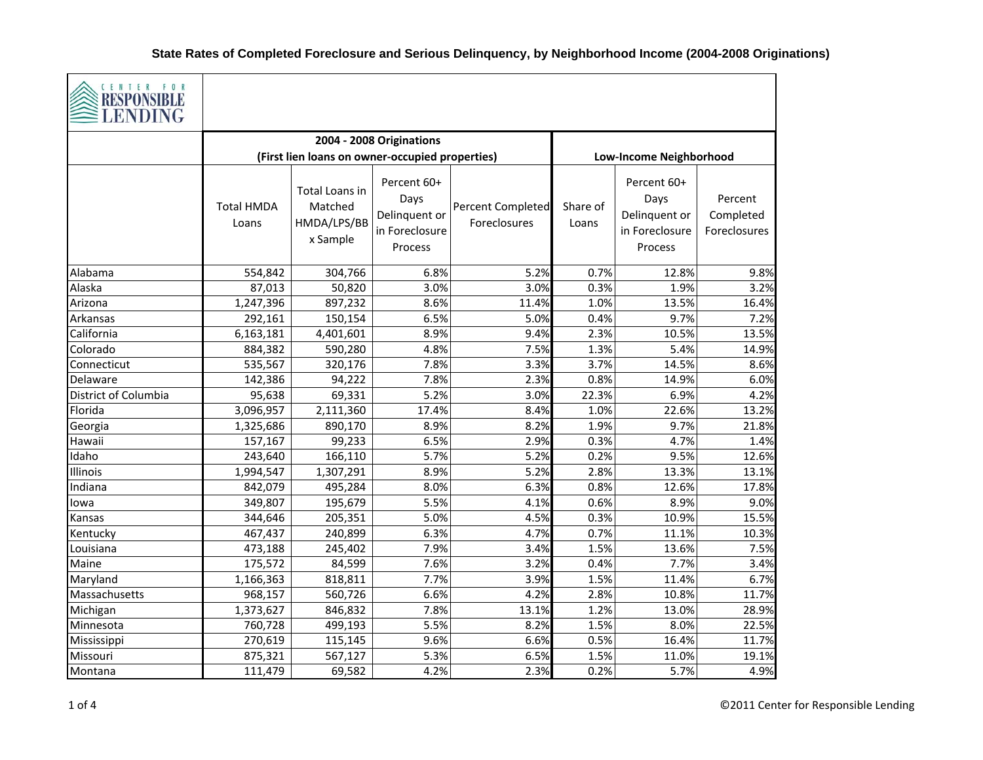

| <b>THEOR OFFICIAL</b><br><b>LENDING</b> |                            |                                                      |                                                                   |                                          |                   |                                                                   |                                      |  |  |
|-----------------------------------------|----------------------------|------------------------------------------------------|-------------------------------------------------------------------|------------------------------------------|-------------------|-------------------------------------------------------------------|--------------------------------------|--|--|
|                                         |                            |                                                      | 2004 - 2008 Originations                                          |                                          |                   |                                                                   |                                      |  |  |
|                                         |                            | (First lien loans on owner-occupied properties)      |                                                                   |                                          |                   | <b>Low-Income Neighborhood</b>                                    |                                      |  |  |
|                                         | <b>Total HMDA</b><br>Loans | Total Loans in<br>Matched<br>HMDA/LPS/BB<br>x Sample | Percent 60+<br>Days<br>Delinquent or<br>in Foreclosure<br>Process | <b>Percent Completed</b><br>Foreclosures | Share of<br>Loans | Percent 60+<br>Days<br>Delinquent or<br>in Foreclosure<br>Process | Percent<br>Completed<br>Foreclosures |  |  |
| Alabama                                 | 554,842                    | 304,766                                              | 6.8%                                                              | 5.2%                                     | 0.7%              | 12.8%                                                             | 9.8%                                 |  |  |
| Alaska                                  | 87,013                     | 50,820                                               | 3.0%                                                              | 3.0%                                     | 0.3%              | 1.9%                                                              | 3.2%                                 |  |  |
| Arizona                                 | 1,247,396                  | 897,232                                              | 8.6%                                                              | 11.4%                                    | 1.0%              | 13.5%                                                             | 16.4%                                |  |  |
| Arkansas                                | 292,161                    | 150,154                                              | 6.5%                                                              | 5.0%                                     | 0.4%              | 9.7%                                                              | 7.2%                                 |  |  |
| California                              | 6,163,181                  | 4,401,601                                            | 8.9%                                                              | 9.4%                                     | 2.3%              | 10.5%                                                             | 13.5%                                |  |  |
| Colorado                                | 884,382                    | 590,280                                              | 4.8%                                                              | 7.5%                                     | 1.3%              | 5.4%                                                              | 14.9%                                |  |  |
| Connecticut                             | 535,567                    | 320,176                                              | 7.8%                                                              | 3.3%                                     | 3.7%              | 14.5%                                                             | 8.6%                                 |  |  |
| Delaware                                | 142,386                    | 94,222                                               | 7.8%                                                              | 2.3%                                     | 0.8%              | 14.9%                                                             | 6.0%                                 |  |  |
| District of Columbia                    | 95,638                     | 69,331                                               | 5.2%                                                              | 3.0%                                     | 22.3%             | 6.9%                                                              | 4.2%                                 |  |  |
| Florida                                 | 3,096,957                  | 2,111,360                                            | 17.4%                                                             | 8.4%                                     | 1.0%              | 22.6%                                                             | 13.2%                                |  |  |
| Georgia                                 | 1,325,686                  | 890,170                                              | 8.9%                                                              | 8.2%                                     | 1.9%              | 9.7%                                                              | 21.8%                                |  |  |
| Hawaii                                  | 157,167                    | 99,233                                               | 6.5%                                                              | 2.9%                                     | 0.3%              | 4.7%                                                              | 1.4%                                 |  |  |
| Idaho                                   | 243,640                    | 166,110                                              | 5.7%                                                              | 5.2%                                     | 0.2%              | 9.5%                                                              | 12.6%                                |  |  |
| Illinois                                | 1,994,547                  | 1,307,291                                            | 8.9%                                                              | 5.2%                                     | 2.8%              | 13.3%                                                             | 13.1%                                |  |  |
| Indiana                                 | 842,079                    | 495,284                                              | 8.0%                                                              | 6.3%                                     | 0.8%              | 12.6%                                                             | 17.8%                                |  |  |
| lowa                                    | 349,807                    | 195,679                                              | 5.5%                                                              | 4.1%                                     | 0.6%              | 8.9%                                                              | 9.0%                                 |  |  |
| Kansas                                  | 344,646                    | 205,351                                              | 5.0%                                                              | 4.5%                                     | 0.3%              | 10.9%                                                             | 15.5%                                |  |  |
| Kentucky                                | 467,437                    | 240,899                                              | 6.3%                                                              | 4.7%                                     | 0.7%              | 11.1%                                                             | 10.3%                                |  |  |
| Louisiana                               | 473,188                    | 245,402                                              | 7.9%                                                              | 3.4%                                     | 1.5%              | 13.6%                                                             | 7.5%                                 |  |  |
| Maine                                   | 175,572                    | 84,599                                               | 7.6%                                                              | 3.2%                                     | 0.4%              | 7.7%                                                              | 3.4%                                 |  |  |
| Maryland                                | 1,166,363                  | 818,811                                              | 7.7%                                                              | 3.9%                                     | 1.5%              | 11.4%                                                             | 6.7%                                 |  |  |
| Massachusetts                           | 968,157                    | 560,726                                              | 6.6%                                                              | 4.2%                                     | 2.8%              | 10.8%                                                             | 11.7%                                |  |  |
| Michigan                                | 1,373,627                  | 846,832                                              | 7.8%                                                              | 13.1%                                    | 1.2%              | 13.0%                                                             | 28.9%                                |  |  |
| Minnesota                               | 760,728                    | 499,193                                              | 5.5%                                                              | 8.2%                                     | 1.5%              | 8.0%                                                              | 22.5%                                |  |  |
| Mississippi                             | 270,619                    | 115,145                                              | 9.6%                                                              | 6.6%                                     | 0.5%              | 16.4%                                                             | 11.7%                                |  |  |
| Missouri                                | 875,321                    | 567,127                                              | 5.3%                                                              | 6.5%                                     | 1.5%              | 11.0%                                                             | 19.1%                                |  |  |
| Montana                                 | 111,479                    | 69,582                                               | 4.2%                                                              | 2.3%                                     | 0.2%              | 5.7%                                                              | 4.9%                                 |  |  |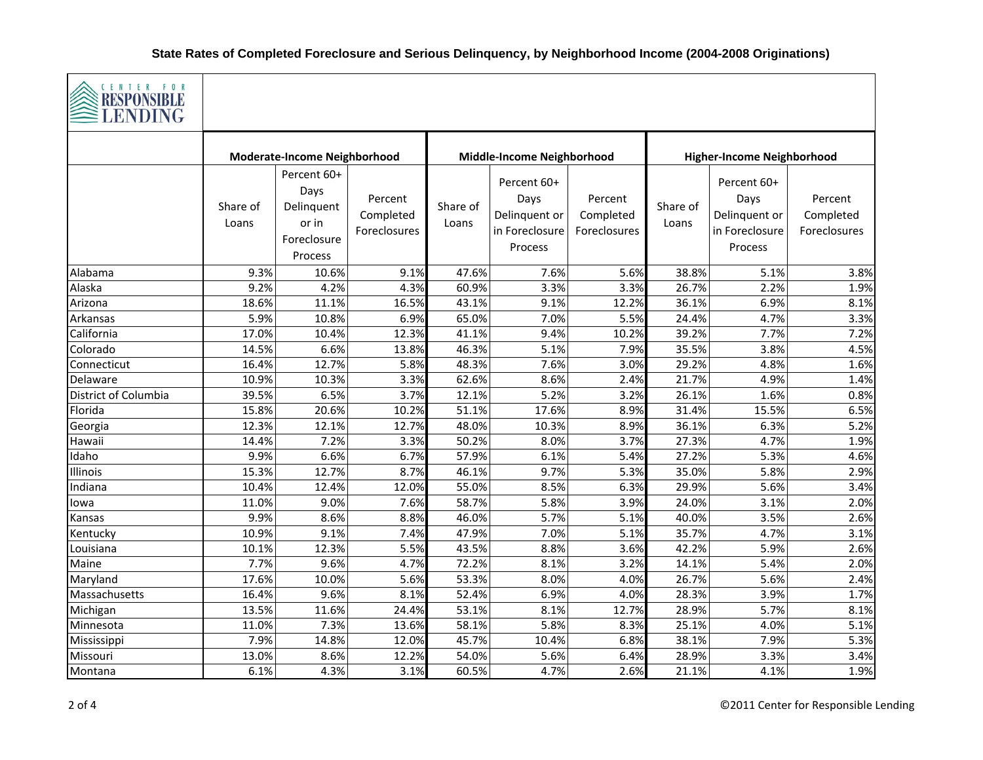

| ELENDING             |                                     |                                                                      |                                      |                            |                                                                   |                                      |                                   |                                                                   |                                      |
|----------------------|-------------------------------------|----------------------------------------------------------------------|--------------------------------------|----------------------------|-------------------------------------------------------------------|--------------------------------------|-----------------------------------|-------------------------------------------------------------------|--------------------------------------|
|                      | <b>Moderate-Income Neighborhood</b> |                                                                      |                                      | Middle-Income Neighborhood |                                                                   |                                      | <b>Higher-Income Neighborhood</b> |                                                                   |                                      |
|                      | Share of<br>Loans                   | Percent 60+<br>Days<br>Delinquent<br>or in<br>Foreclosure<br>Process | Percent<br>Completed<br>Foreclosures | Share of<br>Loans          | Percent 60+<br>Days<br>Delinquent or<br>in Foreclosure<br>Process | Percent<br>Completed<br>Foreclosures | Share of<br>Loans                 | Percent 60+<br>Days<br>Delinquent or<br>in Foreclosure<br>Process | Percent<br>Completed<br>Foreclosures |
| Alabama              | 9.3%                                | 10.6%                                                                | 9.1%                                 | 47.6%                      | 7.6%                                                              | 5.6%                                 | 38.8%                             | 5.1%                                                              | 3.8%                                 |
| Alaska               | 9.2%                                | 4.2%                                                                 | 4.3%                                 | 60.9%                      | 3.3%                                                              | 3.3%                                 | 26.7%                             | 2.2%                                                              | 1.9%                                 |
| Arizona              | 18.6%                               | 11.1%                                                                | 16.5%                                | 43.1%                      | 9.1%                                                              | 12.2%                                | 36.1%                             | 6.9%                                                              | 8.1%                                 |
| Arkansas             | 5.9%                                | 10.8%                                                                | 6.9%                                 | 65.0%                      | 7.0%                                                              | 5.5%                                 | 24.4%                             | 4.7%                                                              | 3.3%                                 |
| California           | 17.0%                               | 10.4%                                                                | 12.3%                                | 41.1%                      | 9.4%                                                              | 10.2%                                | 39.2%                             | 7.7%                                                              | 7.2%                                 |
| Colorado             | 14.5%                               | 6.6%                                                                 | 13.8%                                | 46.3%                      | 5.1%                                                              | 7.9%                                 | 35.5%                             | 3.8%                                                              | 4.5%                                 |
| Connecticut          | 16.4%                               | 12.7%                                                                | 5.8%                                 | 48.3%                      | 7.6%                                                              | 3.0%                                 | 29.2%                             | 4.8%                                                              | 1.6%                                 |
| Delaware             | 10.9%                               | 10.3%                                                                | 3.3%                                 | 62.6%                      | 8.6%                                                              | 2.4%                                 | 21.7%                             | 4.9%                                                              | 1.4%                                 |
| District of Columbia | 39.5%                               | 6.5%                                                                 | 3.7%                                 | 12.1%                      | 5.2%                                                              | 3.2%                                 | 26.1%                             | 1.6%                                                              | 0.8%                                 |
| Florida              | 15.8%                               | 20.6%                                                                | 10.2%                                | 51.1%                      | 17.6%                                                             | 8.9%                                 | 31.4%                             | 15.5%                                                             | 6.5%                                 |
| Georgia              | 12.3%                               | 12.1%                                                                | 12.7%                                | 48.0%                      | 10.3%                                                             | 8.9%                                 | 36.1%                             | 6.3%                                                              | 5.2%                                 |
| Hawaii               | 14.4%                               | 7.2%                                                                 | 3.3%                                 | 50.2%                      | 8.0%                                                              | 3.7%                                 | 27.3%                             | 4.7%                                                              | 1.9%                                 |
| Idaho                | 9.9%                                | 6.6%                                                                 | 6.7%                                 | 57.9%                      | 6.1%                                                              | 5.4%                                 | 27.2%                             | 5.3%                                                              | 4.6%                                 |
| Illinois             | 15.3%                               | 12.7%                                                                | 8.7%                                 | 46.1%                      | 9.7%                                                              | 5.3%                                 | 35.0%                             | 5.8%                                                              | 2.9%                                 |
| Indiana              | 10.4%                               | 12.4%                                                                | 12.0%                                | 55.0%                      | 8.5%                                                              | 6.3%                                 | 29.9%                             | 5.6%                                                              | 3.4%                                 |
| lowa                 | 11.0%                               | 9.0%                                                                 | 7.6%                                 | 58.7%                      | 5.8%                                                              | 3.9%                                 | 24.0%                             | 3.1%                                                              | 2.0%                                 |
| Kansas               | 9.9%                                | 8.6%                                                                 | 8.8%                                 | 46.0%                      | 5.7%                                                              | 5.1%                                 | 40.0%                             | 3.5%                                                              | 2.6%                                 |
| Kentucky             | 10.9%                               | 9.1%                                                                 | 7.4%                                 | 47.9%                      | 7.0%                                                              | 5.1%                                 | 35.7%                             | 4.7%                                                              | 3.1%                                 |
| Louisiana            | 10.1%                               | 12.3%                                                                | 5.5%                                 | 43.5%                      | 8.8%                                                              | 3.6%                                 | 42.2%                             | 5.9%                                                              | 2.6%                                 |
| Maine                | 7.7%                                | 9.6%                                                                 | 4.7%                                 | 72.2%                      | 8.1%                                                              | 3.2%                                 | 14.1%                             | 5.4%                                                              | 2.0%                                 |
| Maryland             | 17.6%                               | 10.0%                                                                | 5.6%                                 | 53.3%                      | 8.0%                                                              | 4.0%                                 | 26.7%                             | 5.6%                                                              | 2.4%                                 |
| Massachusetts        | 16.4%                               | 9.6%                                                                 | 8.1%                                 | 52.4%                      | 6.9%                                                              | 4.0%                                 | 28.3%                             | 3.9%                                                              | 1.7%                                 |
| Michigan             | 13.5%                               | 11.6%                                                                | 24.4%                                | 53.1%                      | 8.1%                                                              | 12.7%                                | 28.9%                             | 5.7%                                                              | 8.1%                                 |
| Minnesota            | 11.0%                               | 7.3%                                                                 | 13.6%                                | 58.1%                      | 5.8%                                                              | 8.3%                                 | 25.1%                             | 4.0%                                                              | 5.1%                                 |
| Mississippi          | 7.9%                                | 14.8%                                                                | 12.0%                                | 45.7%                      | 10.4%                                                             | 6.8%                                 | 38.1%                             | 7.9%                                                              | 5.3%                                 |
| Missouri             | 13.0%                               | 8.6%                                                                 | 12.2%                                | 54.0%                      | 5.6%                                                              | 6.4%                                 | 28.9%                             | 3.3%                                                              | 3.4%                                 |
| Montana              | 6.1%                                | 4.3%                                                                 | 3.1%                                 | 60.5%                      | 4.7%                                                              | 2.6%                                 | 21.1%                             | 4.1%                                                              | 1.9%                                 |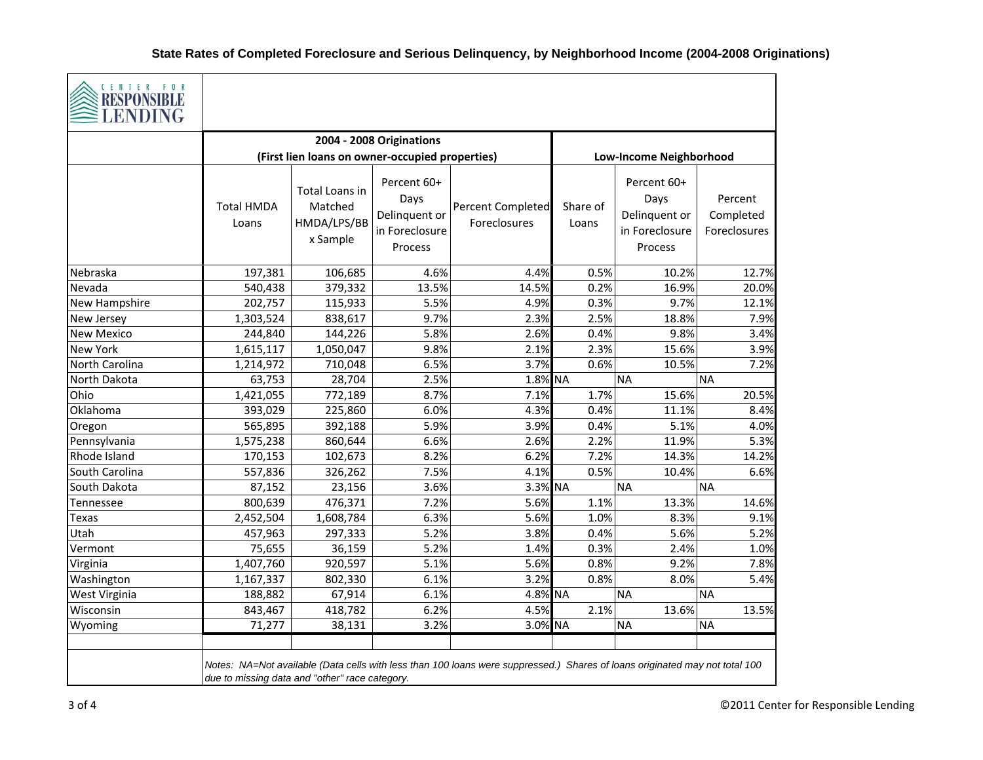

| S REDI UNDIDEE<br><b>LENDING</b> |                                                |                                                      |                                                                   |                                                                                                                             |                   |                                                                   |                                      |
|----------------------------------|------------------------------------------------|------------------------------------------------------|-------------------------------------------------------------------|-----------------------------------------------------------------------------------------------------------------------------|-------------------|-------------------------------------------------------------------|--------------------------------------|
|                                  |                                                |                                                      | 2004 - 2008 Originations                                          |                                                                                                                             |                   |                                                                   |                                      |
|                                  |                                                | (First lien loans on owner-occupied properties)      |                                                                   |                                                                                                                             |                   | Low-Income Neighborhood                                           |                                      |
|                                  | <b>Total HMDA</b><br>Loans                     | Total Loans in<br>Matched<br>HMDA/LPS/BB<br>x Sample | Percent 60+<br>Days<br>Delinquent or<br>in Foreclosure<br>Process | <b>Percent Completed</b><br>Foreclosures                                                                                    | Share of<br>Loans | Percent 60+<br>Days<br>Delinquent or<br>in Foreclosure<br>Process | Percent<br>Completed<br>Foreclosures |
| Nebraska                         | 197,381                                        | 106,685                                              | 4.6%                                                              | 4.4%                                                                                                                        | 0.5%              | 10.2%                                                             | 12.7%                                |
| Nevada                           | 540,438                                        | 379,332                                              | 13.5%                                                             | 14.5%                                                                                                                       | 0.2%              | 16.9%                                                             | 20.0%                                |
| New Hampshire                    | 202,757                                        | 115,933                                              | 5.5%                                                              | 4.9%                                                                                                                        | 0.3%              | 9.7%                                                              | 12.1%                                |
| New Jersey                       | 1,303,524                                      | 838,617                                              | 9.7%                                                              | 2.3%                                                                                                                        | 2.5%              | 18.8%                                                             | 7.9%                                 |
| <b>New Mexico</b>                | 244,840                                        | 144,226                                              | 5.8%                                                              | 2.6%                                                                                                                        | 0.4%              | 9.8%                                                              | 3.4%                                 |
| <b>New York</b>                  | 1,615,117                                      | 1,050,047                                            | 9.8%                                                              | 2.1%                                                                                                                        | 2.3%              | 15.6%                                                             | 3.9%                                 |
| North Carolina                   | 1,214,972                                      | 710,048                                              | 6.5%                                                              | 3.7%                                                                                                                        | 0.6%              | 10.5%                                                             | 7.2%                                 |
| North Dakota                     | 63,753                                         | 28,704                                               | 2.5%                                                              | 1.8% NA                                                                                                                     |                   | <b>NA</b>                                                         | <b>NA</b>                            |
| Ohio                             | 1,421,055                                      | 772,189                                              | 8.7%                                                              | 7.1%                                                                                                                        | 1.7%              | 15.6%                                                             | 20.5%                                |
| Oklahoma                         | 393,029                                        | 225,860                                              | 6.0%                                                              | 4.3%                                                                                                                        | 0.4%              | 11.1%                                                             | 8.4%                                 |
| Oregon                           | 565,895                                        | 392,188                                              | 5.9%                                                              | 3.9%                                                                                                                        | 0.4%              | 5.1%                                                              | 4.0%                                 |
| Pennsylvania                     | 1,575,238                                      | 860,644                                              | 6.6%                                                              | 2.6%                                                                                                                        | 2.2%              | 11.9%                                                             | 5.3%                                 |
| Rhode Island                     | 170,153                                        | 102,673                                              | 8.2%                                                              | 6.2%                                                                                                                        | 7.2%              | 14.3%                                                             | 14.2%                                |
| South Carolina                   | 557,836                                        | 326,262                                              | 7.5%                                                              | 4.1%                                                                                                                        | 0.5%              | 10.4%                                                             | 6.6%                                 |
| South Dakota                     | 87,152                                         | 23,156                                               | 3.6%                                                              | 3.3% NA                                                                                                                     |                   | <b>NA</b>                                                         | <b>NA</b>                            |
| Tennessee                        | 800,639                                        | 476,371                                              | 7.2%                                                              | 5.6%                                                                                                                        | 1.1%              | 13.3%                                                             | 14.6%                                |
| <b>Texas</b>                     | 2,452,504                                      | 1,608,784                                            | 6.3%                                                              | 5.6%                                                                                                                        | 1.0%              | 8.3%                                                              | 9.1%                                 |
| Utah                             | 457,963                                        | 297,333                                              | 5.2%                                                              | 3.8%                                                                                                                        | 0.4%              | 5.6%                                                              | 5.2%                                 |
| Vermont                          | 75,655                                         | 36,159                                               | 5.2%                                                              | 1.4%                                                                                                                        | 0.3%              | 2.4%                                                              | 1.0%                                 |
| Virginia                         | 1,407,760                                      | 920,597                                              | 5.1%                                                              | 5.6%                                                                                                                        | 0.8%              | 9.2%                                                              | 7.8%                                 |
| Washington                       | 1,167,337                                      | 802,330                                              | 6.1%                                                              | 3.2%                                                                                                                        | 0.8%              | 8.0%                                                              | 5.4%                                 |
| West Virginia                    | 188,882                                        | 67,914                                               | 6.1%                                                              | 4.8% NA                                                                                                                     |                   | <b>NA</b>                                                         | <b>NA</b>                            |
| Wisconsin                        | 843,467                                        | 418,782                                              | 6.2%                                                              | $4.5\%$                                                                                                                     | 2.1%              | 13.6%                                                             | 13.5%                                |
| Wyoming                          | 71,277                                         | 38,131                                               | 3.2%                                                              | 3.0% NA                                                                                                                     |                   | <b>NA</b>                                                         | <b>NA</b>                            |
|                                  | due to missing data and "other" race category. |                                                      |                                                                   | Notes: NA=Not available (Data cells with less than 100 loans were suppressed.) Shares of loans originated may not total 100 |                   |                                                                   |                                      |